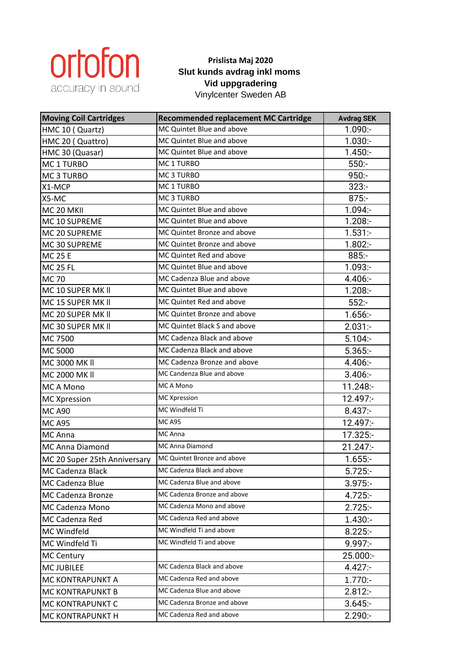

## **Prislista Maj 2020 Slut kunds avdrag inkl moms Vid uppgradering** Vinylcenter Sweden AB

**Moving Coil Cartridges Recommended replacement MC Cartridge** Avdrag SEK HMC 10 ( Quartz) MC Quintet Blue and above 1.090:-HMC 20 ( Quattro) MC Quintet Blue and above 1.030:-HMC 30 (Quasar) MC Quintet Blue and above 1.450:-MC 1 TURBO MC 1 TURBO 550:-MC 3 TURBO MC 3 TURBO 950:-X1-MCP MC 1 TURBO 323:- $X5-MC$  MC 3 TURBO 875:-MC 20 MKII MC Quintet Blue and above 1.094:-MC 10 SUPREME MC Quintet Blue and above 1.208:-MC 20 SUPREME MC Quintet Bronze and above 1.531:-MC 30 SUPREME MC Quintet Bronze and above 1.802:-MC 25 E MC Quintet Red and above 885:-MC 25 FL MC Quintet Blue and above 1.093:-MC 70 MC Cadenza Blue and above 1 4.406:-MC 10 SUPER MK II MC Quintet Blue and above 1.208:-MC 15 SUPER MK II MC Quintet Red and above 552:-MC 20 SUPER MK II MC Quintet Bronze and above 1.656:-MC 30 SUPER MK II MC Quintet Black S and above 2.031:-MC 7500 MC Cadenza Black and above 5.104:-MC 5000 MC Cadenza Black and above 1 5.365:-MC 3000 MK II MC Cadenza Bronze and above 4.406:-MC 2000 MK II MC Candenza Blue and above and above and above and  $3.406$ :-MC A Mono MC A Mono MC A Mono 11.248:-MC Xpression MC Xpression **MC Xpression** 12.497:-MC A90 MC Windfeld Ti **8.437:** MC A95 MC A95 MC A95 12.497:-MC Anna **MC Anna** MC Anna 17.325:-MC Anna Diamond MC Anna Diamond 1997-1247:-MC 20 Super 25th Anniversary MC Quintet Bronze and above 1.655:-MC Cadenza Black MC Cadenza Black and above 5.725:-MC Cadenza Blue MC Cadenza Blue and above **1998** 19975:-MC Cadenza Bronze MC Cadenza Bronze and above 4.725:-MC Cadenza Mono MC Cadenza Mono and above 2.725:-MC Cadenza Red MC Cadenza Red and above 1.430:-MC Windfeld MC Windfeld Ti and above **8.225:-**MC Windfeld Ti MC Windfeld Ti and above **1997**:- 9.997:-MC Century **25.000:**-MC JUBILEE MC Cadenza Black and above **4.427:**-MC KONTRAPUNKT A MC Cadenza Red and above 1.770:-MC KONTRAPUNKT B MC Cadenza Blue and above 2.812:-MC KONTRAPUNKT C MC Cadenza Bronze and above 1 3.645:-MC KONTRAPUNKT H MC Cadenza Red and above 2.290:-